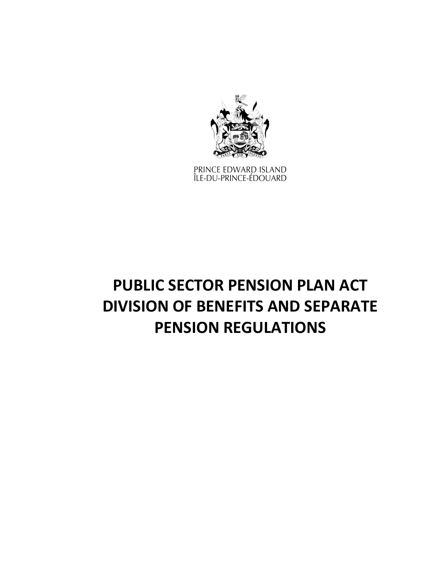

PRINCE EDWARD ISLAND<br>ÎLE-DU-PRINCE-ÉDOUARD

# **PUBLIC SECTOR PENSION PLAN ACT DIVISION OF BENEFITS AND SEPARATE PENSION REGULATIONS**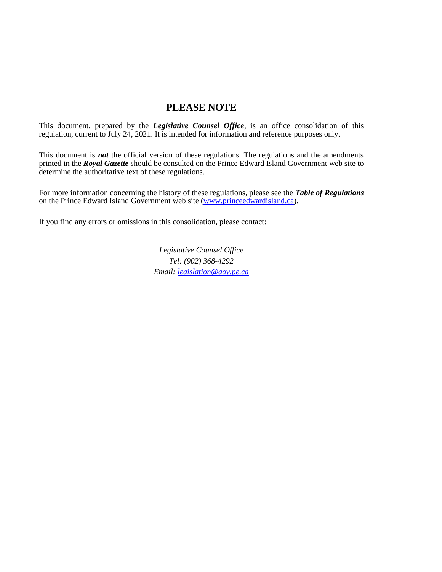# **PLEASE NOTE**

This document, prepared by the *[Legislative Counsel Office](http://www.gov.pe.ca/jps/index.php3?number=1027247)*, is an office consolidation of this regulation, current to July 24, 2021. It is intended for information and reference purposes only.

This document is *not* the official version of these regulations. The regulations and the amendments printed in the *Royal Gazette* should be consulted on the Prince Edward Island Government web site to determine the authoritative text of these regulations.

For more information concerning the history of these regulations, please see the *[Table of Regulations](https://www.princeedwardisland.ca/sites/default/files/publications/leg_table_acts.pdf)* on the Prince Edward Island Government web site [\(www.princeedwardisland.ca\)](http://www.princeedwardisland.ca/).

If you find any errors or omissions in this consolidation, please contact:

*Legislative Counsel Office Tel: (902) 368-4292 Email: [legislation@gov.pe.ca](mailto:legislation@gov.pe.ca)*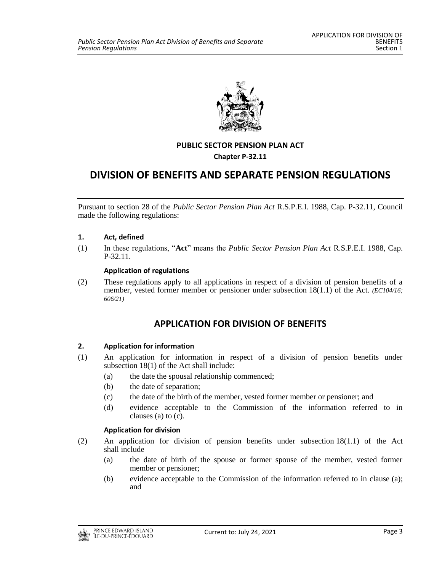

# **PUBLIC SECTOR PENSION PLAN ACT**

**Chapter P-32.11**

# **DIVISION OF BENEFITS AND SEPARATE PENSION REGULATIONS**

Pursuant to section 28 of the *Public Sector Pension Plan Act* R.S.P.E.I. 1988, Cap. P-32.11, Council made the following regulations:

## **1. Act, defined**

(1) In these regulations, "**Act**" means the *Public Sector Pension Plan Act* R.S.P.E.I. 1988, Cap. P-32.11.

### **Application of regulations**

(2) These regulations apply to all applications in respect of a division of pension benefits of a member, vested former member or pensioner under subsection 18(1.1) of the Act. *(EC104/16; 606/21)*

# **APPLICATION FOR DIVISION OF BENEFITS**

## **2. Application for information**

- (1) An application for information in respect of a division of pension benefits under subsection 18(1) of the Act shall include:
	- (a) the date the spousal relationship commenced;
	- (b) the date of separation;
	- (c) the date of the birth of the member, vested former member or pensioner; and
	- (d) evidence acceptable to the Commission of the information referred to in clauses (a) to (c).

#### **Application for division**

- (2) An application for division of pension benefits under subsection 18(1.1) of the Act shall include
	- (a) the date of birth of the spouse or former spouse of the member, vested former member or pensioner;
	- (b) evidence acceptable to the Commission of the information referred to in clause (a); and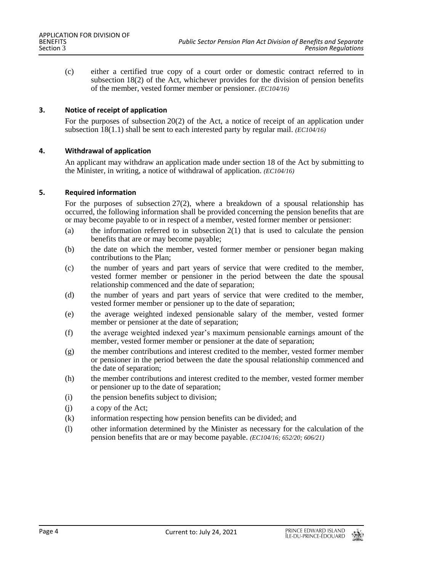(c) either a certified true copy of a court order or domestic contract referred to in subsection 18(2) of the Act, whichever provides for the division of pension benefits of the member, vested former member or pensioner. *(EC104/16)*

## **3. Notice of receipt of application**

For the purposes of subsection 20(2) of the Act, a notice of receipt of an application under subsection 18(1.1) shall be sent to each interested party by regular mail. *(EC104/16)*

### **4. Withdrawal of application**

An applicant may withdraw an application made under section 18 of the Act by submitting to the Minister, in writing, a notice of withdrawal of application. *(EC104/16)*

### **5. Required information**

For the purposes of subsection 27(2), where a breakdown of a spousal relationship has occurred, the following information shall be provided concerning the pension benefits that are or may become payable to or in respect of a member, vested former member or pensioner:

- (a) the information referred to in subsection  $2(1)$  that is used to calculate the pension benefits that are or may become payable;
- (b) the date on which the member, vested former member or pensioner began making contributions to the Plan;
- (c) the number of years and part years of service that were credited to the member, vested former member or pensioner in the period between the date the spousal relationship commenced and the date of separation;
- (d) the number of years and part years of service that were credited to the member, vested former member or pensioner up to the date of separation;
- (e) the average weighted indexed pensionable salary of the member, vested former member or pensioner at the date of separation;
- (f) the average weighted indexed year's maximum pensionable earnings amount of the member, vested former member or pensioner at the date of separation;
- (g) the member contributions and interest credited to the member, vested former member or pensioner in the period between the date the spousal relationship commenced and the date of separation;
- (h) the member contributions and interest credited to the member, vested former member or pensioner up to the date of separation;
- (i) the pension benefits subject to division;
- (j) a copy of the Act;
- (k) information respecting how pension benefits can be divided; and
- (l) other information determined by the Minister as necessary for the calculation of the pension benefits that are or may become payable. *(EC104/16; 652/20; 606/21)*

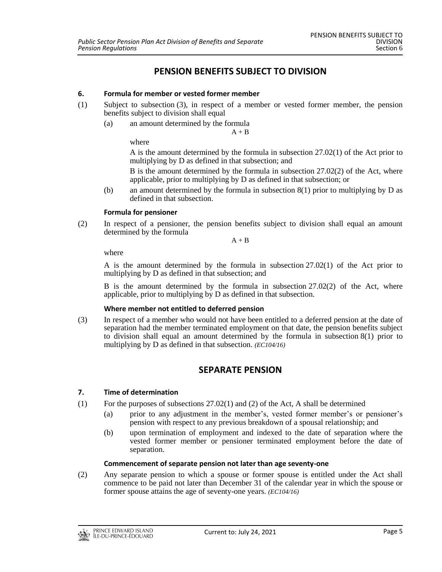# **PENSION BENEFITS SUBJECT TO DIVISION**

## **6. Formula for member or vested former member**

- (1) Subject to subsection (3), in respect of a member or vested former member, the pension benefits subject to division shall equal
	- (a) an amount determined by the formula

 $A + B$ 

where

A is the amount determined by the formula in subsection 27.02(1) of the Act prior to multiplying by D as defined in that subsection; and

B is the amount determined by the formula in subsection 27.02(2) of the Act, where applicable, prior to multiplying by D as defined in that subsection; or

(b) an amount determined by the formula in subsection 8(1) prior to multiplying by D as defined in that subsection.

## **Formula for pensioner**

(2) In respect of a pensioner, the pension benefits subject to division shall equal an amount determined by the formula

 $A + B$ 

where

A is the amount determined by the formula in subsection 27.02(1) of the Act prior to multiplying by D as defined in that subsection; and

B is the amount determined by the formula in subsection 27.02(2) of the Act, where applicable, prior to multiplying by D as defined in that subsection.

## **Where member not entitled to deferred pension**

(3) In respect of a member who would not have been entitled to a deferred pension at the date of separation had the member terminated employment on that date, the pension benefits subject to division shall equal an amount determined by the formula in subsection 8(1) prior to multiplying by D as defined in that subsection. *(EC104/16)*

# **SEPARATE PENSION**

## **7. Time of determination**

- (1) For the purposes of subsections  $27.02(1)$  and (2) of the Act, A shall be determined
	- (a) prior to any adjustment in the member's, vested former member's or pensioner's pension with respect to any previous breakdown of a spousal relationship; and
	- (b) upon termination of employment and indexed to the date of separation where the vested former member or pensioner terminated employment before the date of separation.

## **Commencement of separate pension not later than age seventy-one**

(2) Any separate pension to which a spouse or former spouse is entitled under the Act shall commence to be paid not later than December 31 of the calendar year in which the spouse or former spouse attains the age of seventy-one years. *(EC104/16)*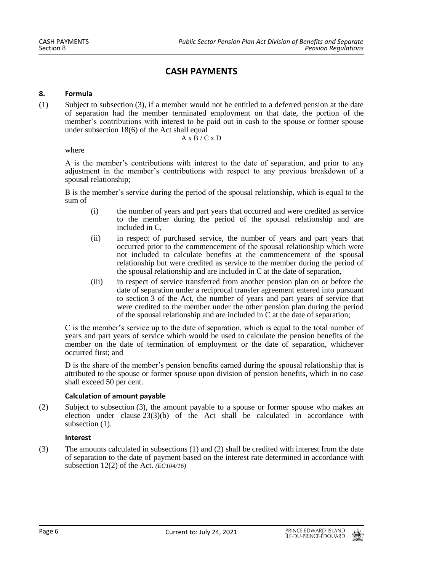# **CASH PAYMENTS**

## **8. Formula**

(1) Subject to subsection (3), if a member would not be entitled to a deferred pension at the date of separation had the member terminated employment on that date, the portion of the member's contributions with interest to be paid out in cash to the spouse or former spouse under subsection 18(6) of the Act shall equal

 $A \times B / C \times D$ 

#### where

A is the member's contributions with interest to the date of separation, and prior to any adjustment in the member's contributions with respect to any previous breakdown of a spousal relationship;

B is the member's service during the period of the spousal relationship, which is equal to the sum of

- (i) the number of years and part years that occurred and were credited as service to the member during the period of the spousal relationship and are included in C,
- (ii) in respect of purchased service, the number of years and part years that occurred prior to the commencement of the spousal relationship which were not included to calculate benefits at the commencement of the spousal relationship but were credited as service to the member during the period of the spousal relationship and are included in C at the date of separation,
- (iii) in respect of service transferred from another pension plan on or before the date of separation under a reciprocal transfer agreement entered into pursuant to section 3 of the Act, the number of years and part years of service that were credited to the member under the other pension plan during the period of the spousal relationship and are included in  $\overline{C}$  at the date of separation;

C is the member's service up to the date of separation, which is equal to the total number of years and part years of service which would be used to calculate the pension benefits of the member on the date of termination of employment or the date of separation, whichever occurred first; and

D is the share of the member's pension benefits earned during the spousal relationship that is attributed to the spouse or former spouse upon division of pension benefits, which in no case shall exceed 50 per cent.

#### **Calculation of amount payable**

(2) Subject to subsection (3), the amount payable to a spouse or former spouse who makes an election under clause  $23(3)(b)$  of the Act shall be calculated in accordance with subsection  $(1)$ .

#### **Interest**

(3) The amounts calculated in subsections (1) and (2) shall be credited with interest from the date of separation to the date of payment based on the interest rate determined in accordance with subsection 12(2) of the Act. *(EC104/16)*

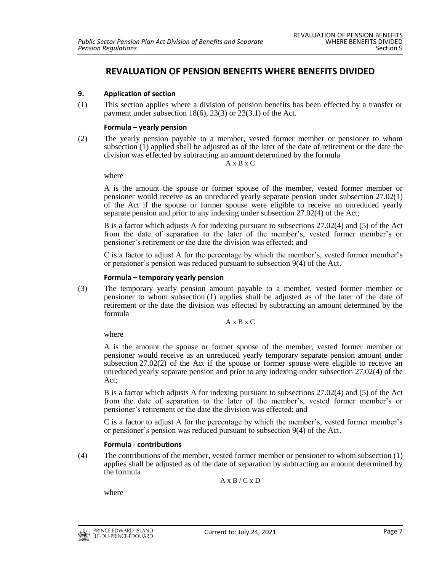# **REVALUATION OF PENSION BENEFITS WHERE BENEFITS DIVIDED**

# **9. Application of section**

(1) This section applies where a division of pension benefits has been effected by a transfer or payment under subsection 18(6), 23(3) or 23(3.1) of the Act.

### **Formula – yearly pension**

(2) The yearly pension payable to a member, vested former member or pensioner to whom subsection (1) applied shall be adjusted as of the later of the date of retirement or the date the division was effected by subtracting an amount determined by the formula

A x B x C

where

A is the amount the spouse or former spouse of the member, vested former member or pensioner would receive as an unreduced yearly separate pension under subsection 27.02(1) of the Act if the spouse or former spouse were eligible to receive an unreduced yearly separate pension and prior to any indexing under subsection 27.02(4) of the Act;

B is a factor which adjusts A for indexing pursuant to subsections 27.02(4) and (5) of the Act from the date of separation to the later of the member's, vested former member's or pensioner's retirement or the date the division was effected; and

C is a factor to adjust A for the percentage by which the member's, vested former member's or pensioner's pension was reduced pursuant to subsection 9(4) of the Act.

#### **Formula – temporary yearly pension**

(3) The temporary yearly pension amount payable to a member, vested former member or pensioner to whom subsection (1) applies shall be adjusted as of the later of the date of retirement or the date the division was effected by subtracting an amount determined by the formula

A x B x C

where

A is the amount the spouse or former spouse of the member, vested former member or pensioner would receive as an unreduced yearly temporary separate pension amount under subsection 27.02(2) of the Act if the spouse or former spouse were eligible to receive an unreduced yearly separate pension and prior to any indexing under subsection 27.02(4) of the Act;

B is a factor which adjusts A for indexing pursuant to subsections 27.02(4) and (5) of the Act from the date of separation to the later of the member's, vested former member's or pensioner's retirement or the date the division was effected; and

C is a factor to adjust A for the percentage by which the member's, vested former member's or pensioner's pension was reduced pursuant to subsection 9(4) of the Act.

#### **Formula - contributions**

(4) The contributions of the member, vested former member or pensioner to whom subsection (1) applies shall be adjusted as of the date of separation by subtracting an amount determined by the formula

 $A \times B / C \times D$ 

where